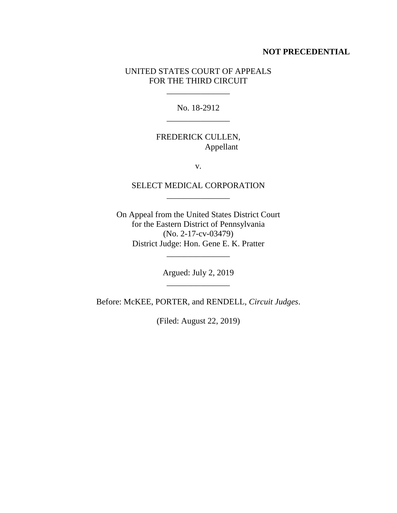### **NOT PRECEDENTIAL**

## UNITED STATES COURT OF APPEALS FOR THE THIRD CIRCUIT

\_\_\_\_\_\_\_\_\_\_\_\_\_\_\_

No. 18-2912 \_\_\_\_\_\_\_\_\_\_\_\_\_\_\_

# FREDERICK CULLEN, Appellant

v.

# SELECT MEDICAL CORPORATION \_\_\_\_\_\_\_\_\_\_\_\_\_\_\_

On Appeal from the United States District Court for the Eastern District of Pennsylvania (No. 2-17-cv-03479) District Judge: Hon. Gene E. K. Pratter

> Argued: July 2, 2019 \_\_\_\_\_\_\_\_\_\_\_\_\_\_\_

\_\_\_\_\_\_\_\_\_\_\_\_\_\_\_

Before: McKEE, PORTER, and RENDELL, *Circuit Judges*.

(Filed: August 22, 2019)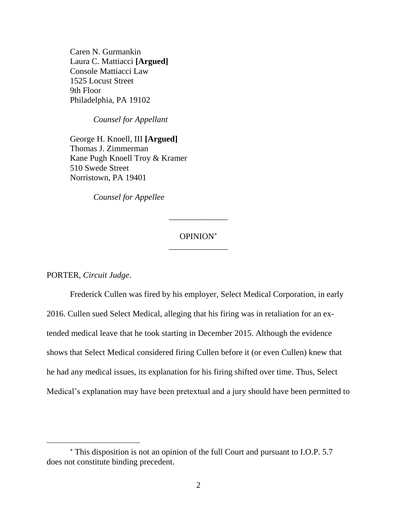Caren N. Gurmankin Laura C. Mattiacci **[Argued]** Console Mattiacci Law 1525 Locust Street 9th Floor Philadelphia, PA 19102

*Counsel for Appellant*

George H. Knoell, III **[Argued]** Thomas J. Zimmerman Kane Pugh Knoell Troy & Kramer 510 Swede Street Norristown, PA 19401

*Counsel for Appellee*

## OPINION \_\_\_\_\_\_\_\_\_\_\_\_\_\_

\_\_\_\_\_\_\_\_\_\_\_\_\_\_

PORTER, *Circuit Judge*.

 $\overline{a}$ 

Frederick Cullen was fired by his employer, Select Medical Corporation, in early 2016. Cullen sued Select Medical, alleging that his firing was in retaliation for an extended medical leave that he took starting in December 2015. Although the evidence shows that Select Medical considered firing Cullen before it (or even Cullen) knew that he had any medical issues, its explanation for his firing shifted over time. Thus, Select Medical's explanation may have been pretextual and a jury should have been permitted to

This disposition is not an opinion of the full Court and pursuant to I.O.P. 5.7 does not constitute binding precedent.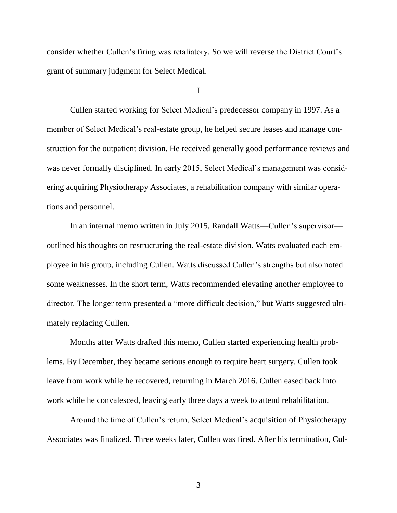consider whether Cullen's firing was retaliatory. So we will reverse the District Court's grant of summary judgment for Select Medical.

I

Cullen started working for Select Medical's predecessor company in 1997. As a member of Select Medical's real-estate group, he helped secure leases and manage construction for the outpatient division. He received generally good performance reviews and was never formally disciplined. In early 2015, Select Medical's management was considering acquiring Physiotherapy Associates, a rehabilitation company with similar operations and personnel.

In an internal memo written in July 2015, Randall Watts—Cullen's supervisor outlined his thoughts on restructuring the real-estate division. Watts evaluated each employee in his group, including Cullen. Watts discussed Cullen's strengths but also noted some weaknesses. In the short term, Watts recommended elevating another employee to director. The longer term presented a "more difficult decision," but Watts suggested ultimately replacing Cullen.

Months after Watts drafted this memo, Cullen started experiencing health problems. By December, they became serious enough to require heart surgery. Cullen took leave from work while he recovered, returning in March 2016. Cullen eased back into work while he convalesced, leaving early three days a week to attend rehabilitation.

Around the time of Cullen's return, Select Medical's acquisition of Physiotherapy Associates was finalized. Three weeks later, Cullen was fired. After his termination, Cul-

3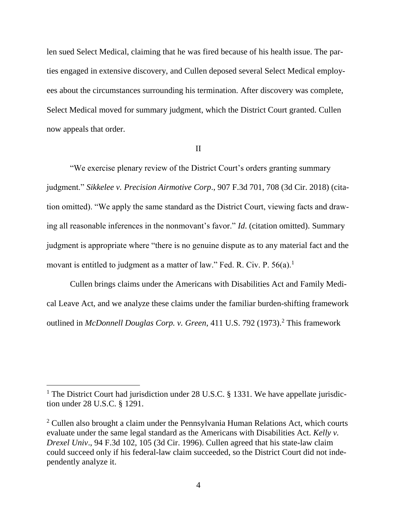len sued Select Medical, claiming that he was fired because of his health issue. The parties engaged in extensive discovery, and Cullen deposed several Select Medical employees about the circumstances surrounding his termination. After discovery was complete, Select Medical moved for summary judgment, which the District Court granted. Cullen now appeals that order.

#### II

"We exercise plenary review of the District Court's orders granting summary judgment." *Sikkelee v. Precision Airmotive Corp*., 907 F.3d 701, 708 (3d Cir. 2018) (citation omitted). "We apply the same standard as the District Court, viewing facts and drawing all reasonable inferences in the nonmovant's favor." *Id*. (citation omitted). Summary judgment is appropriate where "there is no genuine dispute as to any material fact and the movant is entitled to judgment as a matter of law." Fed. R. Civ. P.  $56(a)$ .<sup>1</sup>

Cullen brings claims under the Americans with Disabilities Act and Family Medical Leave Act, and we analyze these claims under the familiar burden-shifting framework outlined in *McDonnell Douglas Corp. v. Green*, 411 U.S. 792 (1973).<sup>2</sup> This framework

 $\overline{a}$ 

<sup>&</sup>lt;sup>1</sup> The District Court had jurisdiction under 28 U.S.C. § 1331. We have appellate jurisdiction under 28 U.S.C. § 1291.

 $2$  Cullen also brought a claim under the Pennsylvania Human Relations Act, which courts evaluate under the same legal standard as the Americans with Disabilities Act. *Kelly v. Drexel Univ*., 94 F.3d 102, 105 (3d Cir. 1996). Cullen agreed that his state-law claim could succeed only if his federal-law claim succeeded, so the District Court did not independently analyze it.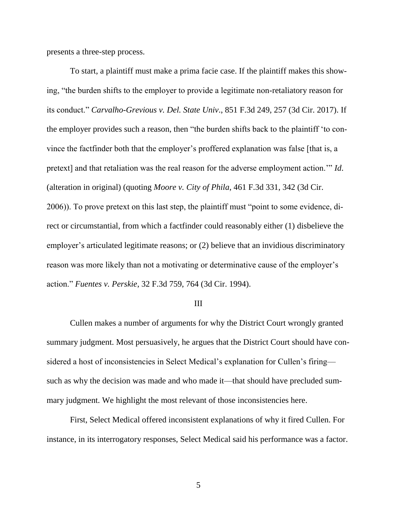presents a three-step process.

To start, a plaintiff must make a prima facie case. If the plaintiff makes this showing, "the burden shifts to the employer to provide a legitimate non-retaliatory reason for its conduct." *Carvalho-Grevious v. Del. State Univ*., 851 F.3d 249, 257 (3d Cir. 2017). If the employer provides such a reason, then "the burden shifts back to the plaintiff 'to convince the factfinder both that the employer's proffered explanation was false [that is, a pretext] and that retaliation was the real reason for the adverse employment action.'" *Id*. (alteration in original) (quoting *Moore v. City of Phila*, 461 F.3d 331, 342 (3d Cir. 2006)). To prove pretext on this last step, the plaintiff must "point to some evidence, direct or circumstantial, from which a factfinder could reasonably either (1) disbelieve the employer's articulated legitimate reasons; or (2) believe that an invidious discriminatory reason was more likely than not a motivating or determinative cause of the employer's action." *Fuentes v. Perskie*, 32 F.3d 759, 764 (3d Cir. 1994).

#### III

Cullen makes a number of arguments for why the District Court wrongly granted summary judgment. Most persuasively, he argues that the District Court should have considered a host of inconsistencies in Select Medical's explanation for Cullen's firing such as why the decision was made and who made it—that should have precluded summary judgment. We highlight the most relevant of those inconsistencies here.

First, Select Medical offered inconsistent explanations of why it fired Cullen. For instance, in its interrogatory responses, Select Medical said his performance was a factor.

5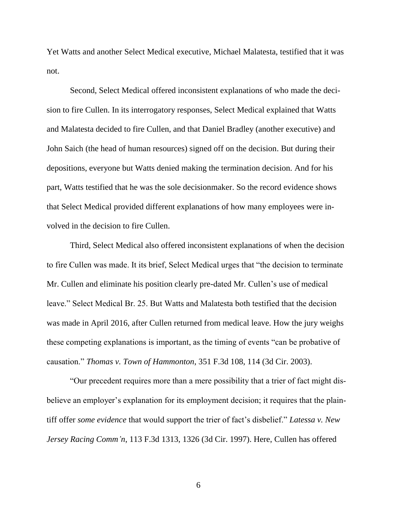Yet Watts and another Select Medical executive, Michael Malatesta, testified that it was not.

Second, Select Medical offered inconsistent explanations of who made the decision to fire Cullen. In its interrogatory responses, Select Medical explained that Watts and Malatesta decided to fire Cullen, and that Daniel Bradley (another executive) and John Saich (the head of human resources) signed off on the decision. But during their depositions, everyone but Watts denied making the termination decision. And for his part, Watts testified that he was the sole decisionmaker. So the record evidence shows that Select Medical provided different explanations of how many employees were involved in the decision to fire Cullen.

Third, Select Medical also offered inconsistent explanations of when the decision to fire Cullen was made. It its brief, Select Medical urges that "the decision to terminate Mr. Cullen and eliminate his position clearly pre-dated Mr. Cullen's use of medical leave." Select Medical Br. 25. But Watts and Malatesta both testified that the decision was made in April 2016, after Cullen returned from medical leave. How the jury weighs these competing explanations is important, as the timing of events "can be probative of causation." *Thomas v. Town of Hammonton*, 351 F.3d 108, 114 (3d Cir. 2003).

"Our precedent requires more than a mere possibility that a trier of fact might disbelieve an employer's explanation for its employment decision; it requires that the plaintiff offer *some evidence* that would support the trier of fact's disbelief." *Latessa v. New Jersey Racing Comm'n*, 113 F.3d 1313, 1326 (3d Cir. 1997). Here, Cullen has offered

6